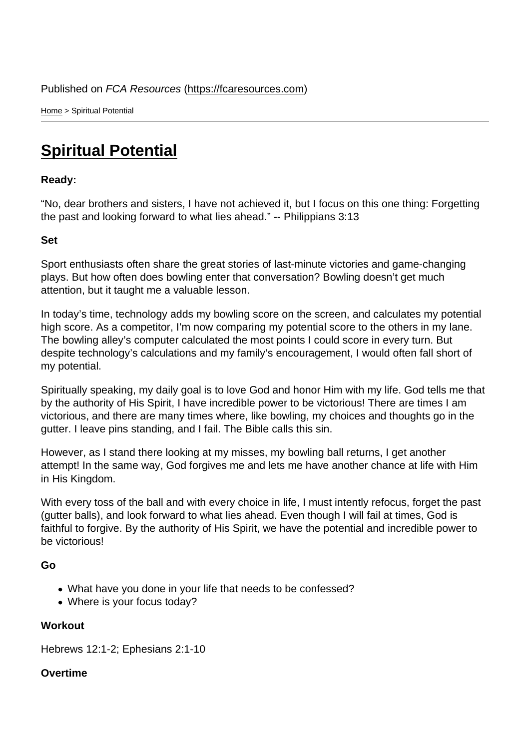Home > Spiritual Potential

## [Spi](https://fcaresources.com/)ritual Potential

Ready:

["No, dear brothers and sisters](https://fcaresources.com/devotional/spiritual-potential), I have not achieved it, but I focus on this one thing: Forgetting the past and looking forward to what lies ahead." -- Philippians 3:13

Set

Sport enthusiasts often share the great stories of last-minute victories and game-changing plays. But how often does bowling enter that conversation? Bowling doesn't get much attention, but it taught me a valuable lesson.

In today's time, technology adds my bowling score on the screen, and calculates my potential high score. As a competitor, I'm now comparing my potential score to the others in my lane. The bowling alley's computer calculated the most points I could score in every turn. But despite technology's calculations and my family's encouragement, I would often fall short of my potential.

Spiritually speaking, my daily goal is to love God and honor Him with my life. God tells me that by the authority of His Spirit, I have incredible power to be victorious! There are times I am victorious, and there are many times where, like bowling, my choices and thoughts go in the gutter. I leave pins standing, and I fail. The Bible calls this sin.

However, as I stand there looking at my misses, my bowling ball returns, I get another attempt! In the same way, God forgives me and lets me have another chance at life with Him in His Kingdom.

With every toss of the ball and with every choice in life, I must intently refocus, forget the past (gutter balls), and look forward to what lies ahead. Even though I will fail at times, God is faithful to forgive. By the authority of His Spirit, we have the potential and incredible power to be victorious!

Go

- What have you done in your life that needs to be confessed?
- Where is your focus today?

**Workout** 

Hebrews 12:1-2; Ephesians 2:1-10

**Overtime**